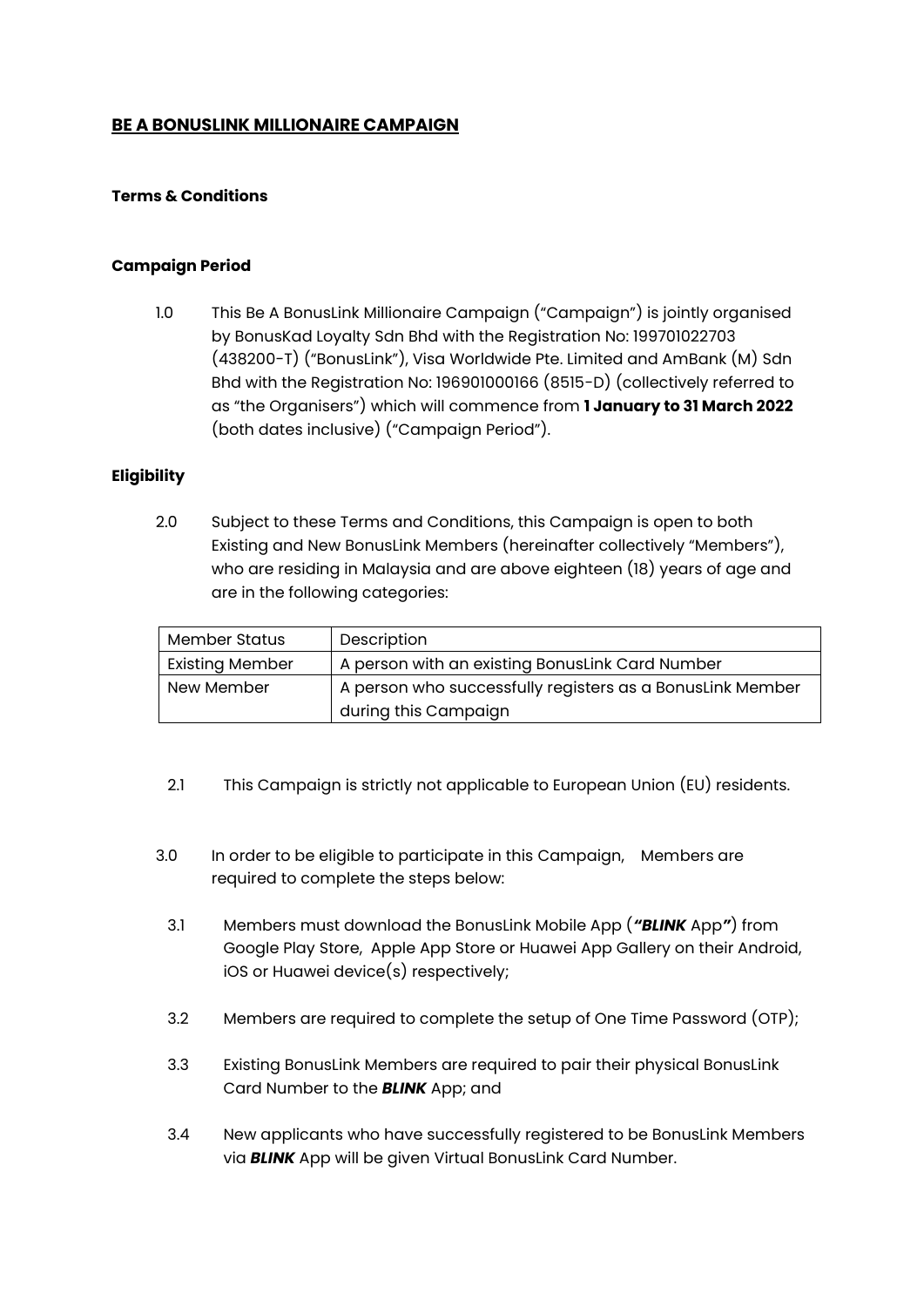# **BE A BONUSLINK MILLIONAIRE CAMPAIGN**

### **Terms & Conditions**

#### **Campaign Period**

1.0 This Be A BonusLink Millionaire Campaign ("Campaign") is jointly organised by BonusKad Loyalty Sdn Bhd with the Registration No: 199701022703 (438200-T) ("BonusLink"), Visa Worldwide Pte. Limited and AmBank (M) Sdn Bhd with the Registration No: 196901000166 (8515-D) (collectively referred to as "the Organisers") which will commence from **1 January to 31 March 2022**  (both dates inclusive) ("Campaign Period").

#### **Eligibility**

2.0 Subject to these Terms and Conditions, this Campaign is open to both Existing and New BonusLink Members (hereinafter collectively "Members"), who are residing in Malaysia and are above eighteen (18) years of age and are in the following categories:

| <b>Member Status</b>   | Description                                               |  |
|------------------------|-----------------------------------------------------------|--|
| <b>Existing Member</b> | A person with an existing BonusLink Card Number           |  |
| New Member             | A person who successfully registers as a BonusLink Member |  |
|                        | during this Campaign                                      |  |

- 2.1 This Campaign is strictly not applicable to European Union (EU) residents.
- 3.0 In order to be eligible to participate in this Campaign, Members are required to complete the steps below:
	- 3.1 Members must download the BonusLink Mobile App (*"BLINK* App*"*) from Google Play Store, Apple App Store or Huawei App Gallery on their Android, iOS or Huawei device(s) respectively;
	- 3.2 Members are required to complete the setup of One Time Password (OTP);
	- 3.3 Existing BonusLink Members are required to pair their physical BonusLink Card Number to the *BLINK* App; and
	- 3.4 New applicants who have successfully registered to be BonusLink Members via *BLINK* App will be given Virtual BonusLink Card Number.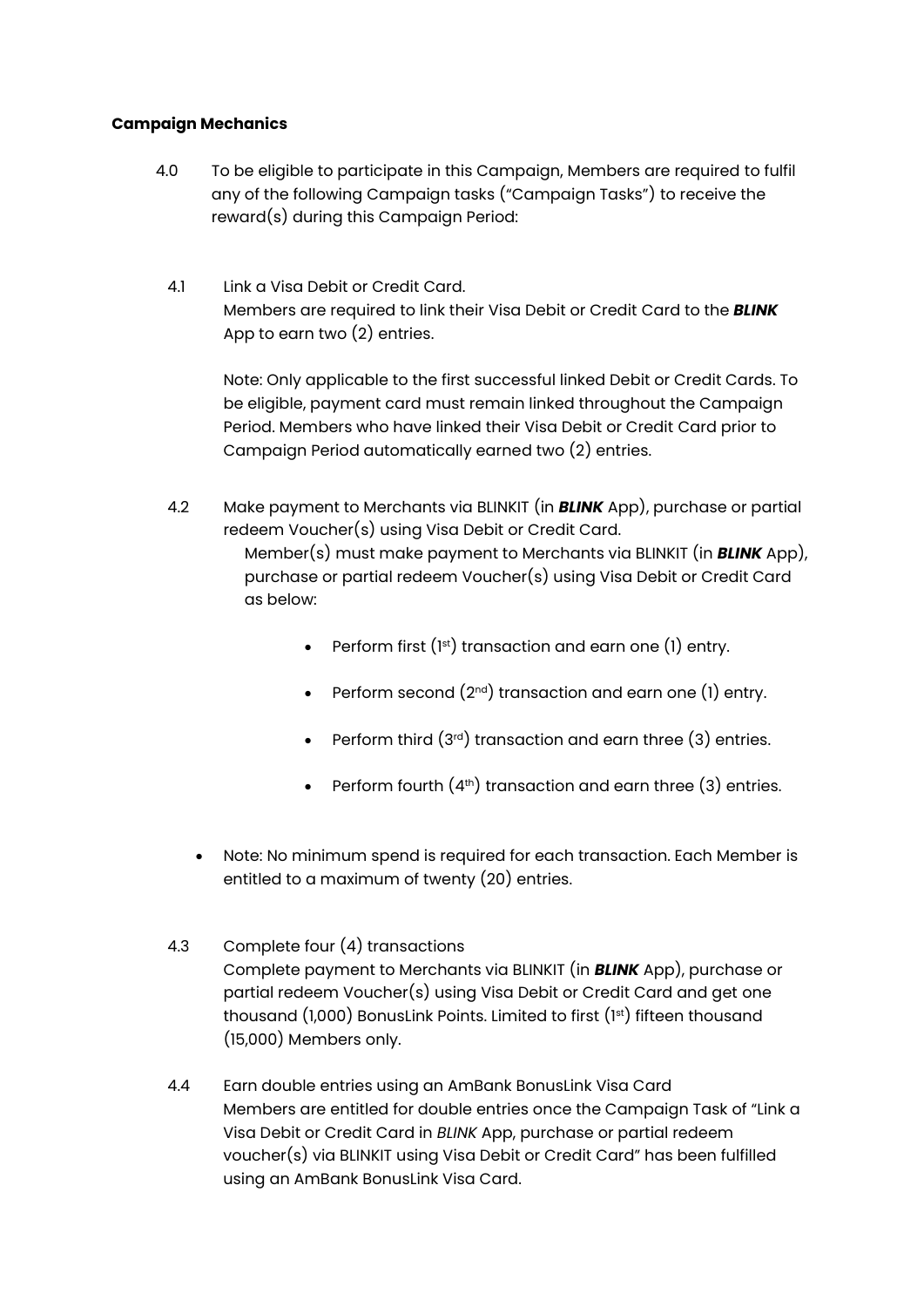# **Campaign Mechanics**

- 4.0 To be eligible to participate in this Campaign, Members are required to fulfil any of the following Campaign tasks ("Campaign Tasks") to receive the reward(s) during this Campaign Period:
	- 4.1 Link a Visa Debit or Credit Card. Members are required to link their Visa Debit or Credit Card to the *BLINK* App to earn two (2) entries.

Note: Only applicable to the first successful linked Debit or Credit Cards. To be eligible, payment card must remain linked throughout the Campaign Period. Members who have linked their Visa Debit or Credit Card prior to Campaign Period automatically earned two (2) entries.

- 4.2 Make payment to Merchants via BLINKIT (in *BLINK* App), purchase or partial redeem Voucher(s) using Visa Debit or Credit Card. Member(s) must make payment to Merchants via BLINKIT (in *BLINK* App), purchase or partial redeem Voucher(s) using Visa Debit or Credit Card as below:
	- Perform first  $(1<sup>st</sup>)$  transaction and earn one  $(1)$  entry.
	- Perform second  $(2^{nd})$  transaction and earn one (1) entry.
	- Perform third  $(3<sup>rd</sup>)$  transaction and earn three  $(3)$  entries.
	- Perform fourth  $(4<sup>th</sup>)$  transaction and earn three  $(3)$  entries.
	- Note: No minimum spend is required for each transaction. Each Member is entitled to a maximum of twenty (20) entries.
- 4.3 Complete four (4) transactions Complete payment to Merchants via BLINKIT (in *BLINK* App), purchase or partial redeem Voucher(s) using Visa Debit or Credit Card and get one thousand (1,000) BonusLink Points. Limited to first (1st) fifteen thousand (15,000) Members only.
- 4.4 Earn double entries using an AmBank BonusLink Visa Card Members are entitled for double entries once the Campaign Task of "Link a Visa Debit or Credit Card in *BLINK* App, purchase or partial redeem voucher(s) via BLINKIT using Visa Debit or Credit Card" has been fulfilled using an AmBank BonusLink Visa Card.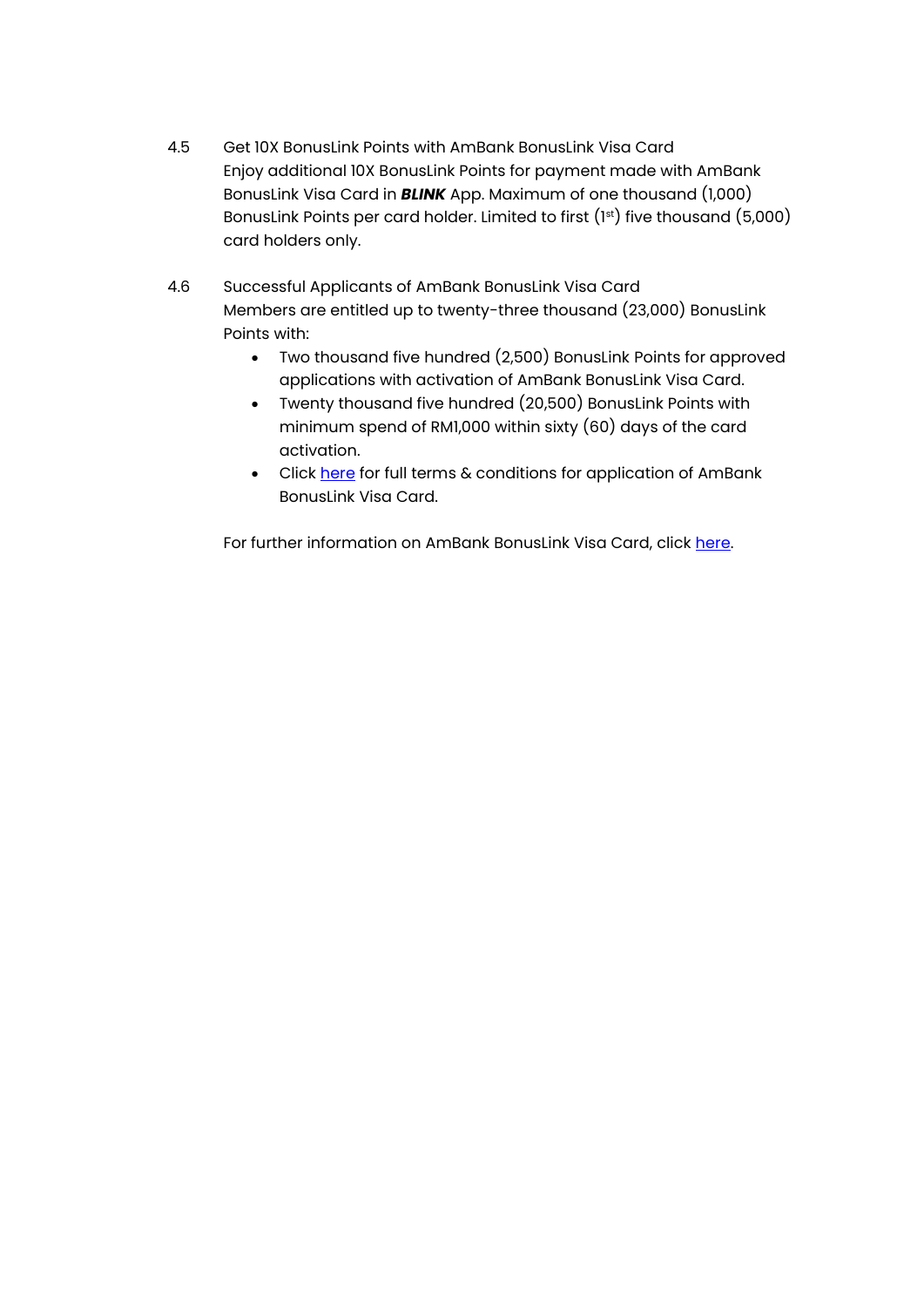- 4.5 Get 10X BonusLink Points with AmBank BonusLink Visa Card Enjoy additional 10X BonusLink Points for payment made with AmBank BonusLink Visa Card in *BLINK* App. Maximum of one thousand (1,000) BonusLink Points per card holder. Limited to first (1st) five thousand (5,000) card holders only.
- 4.6 Successful Applicants of AmBank BonusLink Visa Card Members are entitled up to twenty-three thousand (23,000) BonusLink Points with:
	- Two thousand five hundred (2,500) BonusLink Points for approved applications with activation of AmBank BonusLink Visa Card.
	- Twenty thousand five hundred (20,500) BonusLink Points with minimum spend of RM1,000 within sixty (60) days of the card activation.
	- Click [here](https://www.ambank.com.my/ambank/SiteAssets/SitePages/simple/terms-and-conditions/BonusLinkTargettedbaseCampaignTnC.pdf) for full terms & conditions for application of AmBank BonusLink Visa Card.

For further information on AmBank BonusLink Visa Card, click [here.](https://www.ambank.com.my/eng/cards/AmBank-BonusLink-Visa-Card)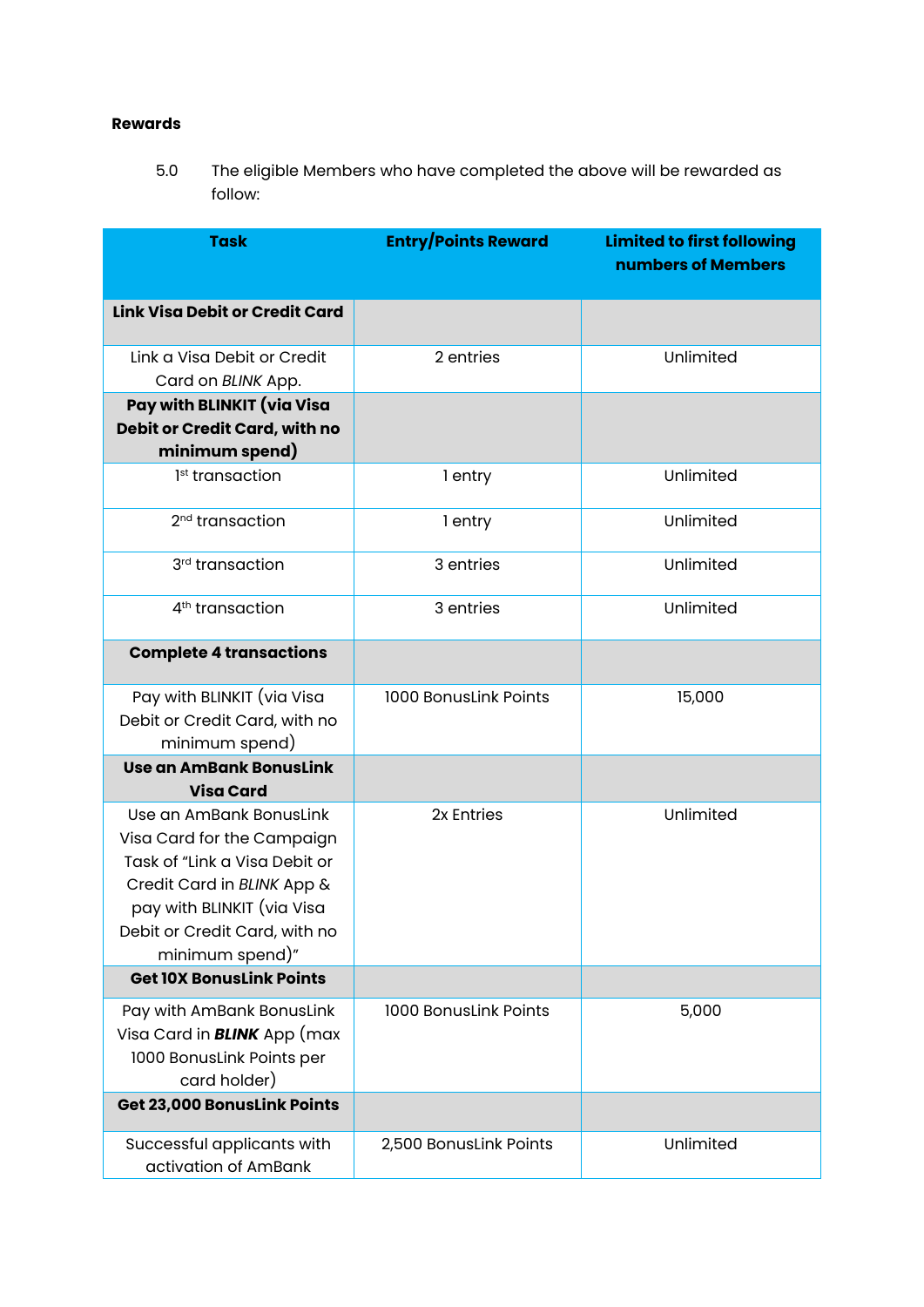# **Rewards**

5.0 The eligible Members who have completed the above will be rewarded as follow:

| <b>Task</b>                                                 | <b>Entry/Points Reward</b> | <b>Limited to first following</b><br>numbers of Members |
|-------------------------------------------------------------|----------------------------|---------------------------------------------------------|
| <b>Link Visa Debit or Credit Card</b>                       |                            |                                                         |
| Link a Visa Debit or Credit                                 | 2 entries                  | Unlimited                                               |
| Card on BLINK App.                                          |                            |                                                         |
| Pay with BLINKIT (via Visa                                  |                            |                                                         |
| Debit or Credit Card, with no                               |                            |                                                         |
| minimum spend)                                              |                            |                                                         |
| 1 <sup>st</sup> transaction                                 | 1 entry                    | Unlimited                                               |
| 2 <sup>nd</sup> transaction                                 | 1 entry                    | Unlimited                                               |
| 3rd transaction                                             | 3 entries                  | Unlimited                                               |
| 4 <sup>th</sup> transaction                                 | 3 entries                  | Unlimited                                               |
| <b>Complete 4 transactions</b>                              |                            |                                                         |
| Pay with BLINKIT (via Visa                                  | 1000 BonusLink Points      | 15,000                                                  |
| Debit or Credit Card, with no                               |                            |                                                         |
| minimum spend)                                              |                            |                                                         |
| <b>Use an AmBank BonusLink</b>                              |                            |                                                         |
| <b>Visa Card</b>                                            |                            |                                                         |
| Use an AmBank BonusLink                                     | 2x Entries                 | Unlimited                                               |
| Visa Card for the Campaign<br>Task of "Link a Visa Debit or |                            |                                                         |
| Credit Card in BLINK App &                                  |                            |                                                         |
| pay with BLINKIT (via Visa                                  |                            |                                                         |
| Debit or Credit Card, with no                               |                            |                                                         |
| minimum spend)"                                             |                            |                                                         |
| <b>Get 10X BonusLink Points</b>                             |                            |                                                         |
| Pay with AmBank BonusLink                                   | 1000 BonusLink Points      | 5,000                                                   |
| Visa Card in <b>BLINK</b> App (max                          |                            |                                                         |
| 1000 BonusLink Points per                                   |                            |                                                         |
| card holder)                                                |                            |                                                         |
| Get 23,000 BonusLink Points                                 |                            |                                                         |
| Successful applicants with                                  | 2,500 BonusLink Points     | Unlimited                                               |
| activation of AmBank                                        |                            |                                                         |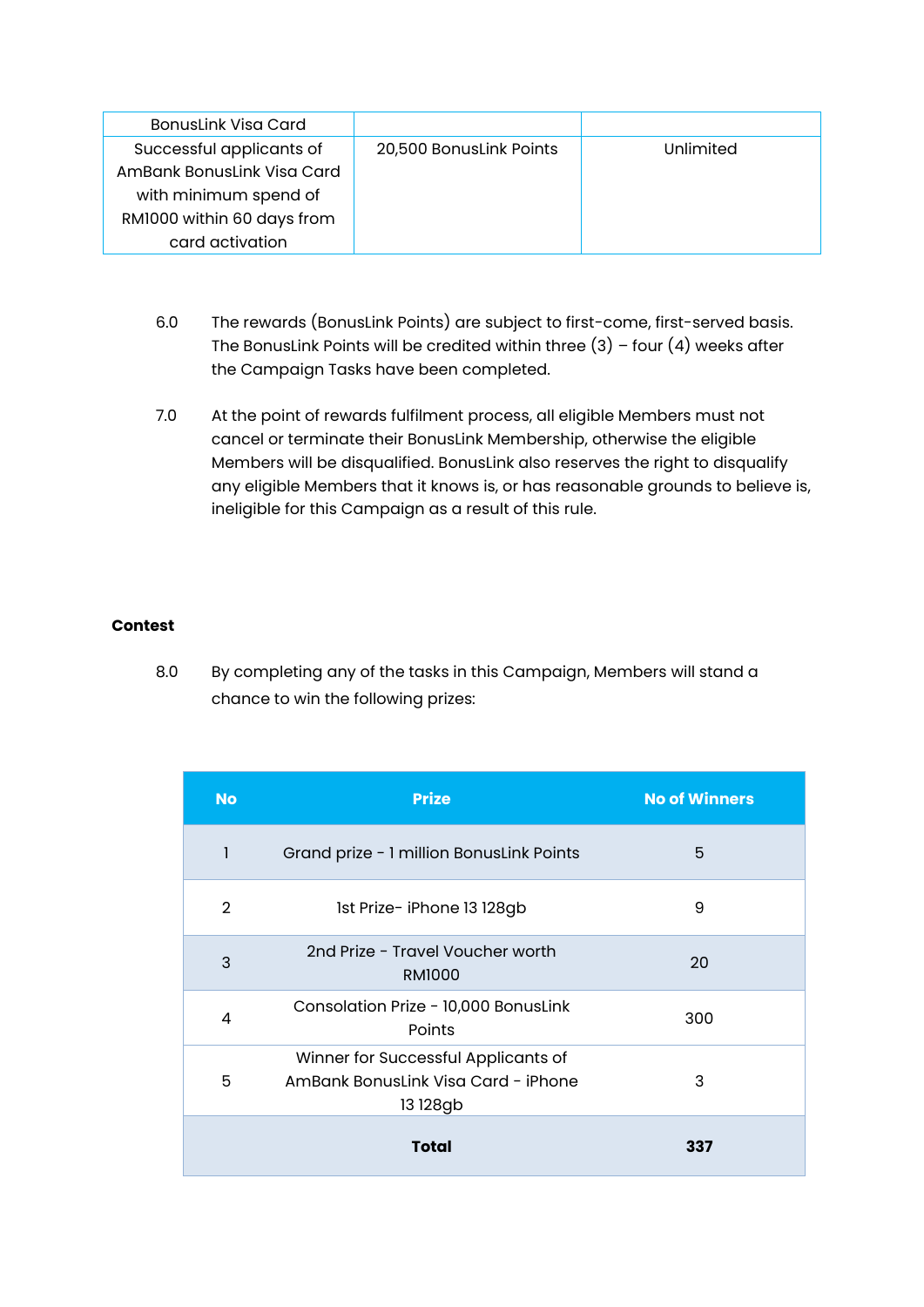| <b>BonusLink Visa Card</b> |                         |           |
|----------------------------|-------------------------|-----------|
| Successful applicants of   | 20,500 BonusLink Points | Unlimited |
| AmBank BonusLink Visa Card |                         |           |
| with minimum spend of      |                         |           |
| RM1000 within 60 days from |                         |           |
| card activation            |                         |           |

- 6.0 The rewards (BonusLink Points) are subject to first-come, first-served basis. The BonusLink Points will be credited within three  $(3)$  – four  $(4)$  weeks after the Campaign Tasks have been completed.
- 7.0 At the point of rewards fulfilment process, all eligible Members must not cancel or terminate their BonusLink Membership, otherwise the eligible Members will be disqualified. BonusLink also reserves the right to disqualify any eligible Members that it knows is, or has reasonable grounds to believe is, ineligible for this Campaign as a result of this rule.

# **Contest**

8.0 By completing any of the tasks in this Campaign, Members will stand a chance to win the following prizes:

| <b>No</b>      | <b>Prize</b>                                                                           | <b>No of Winners</b> |
|----------------|----------------------------------------------------------------------------------------|----------------------|
| 1              | Grand prize - 1 million BonusLink Points                                               | 5                    |
| $\overline{2}$ | 1st Prize- iPhone 13 128gb                                                             | 9                    |
| 3              | 2nd Prize - Travel Voucher worth<br><b>RM1000</b>                                      | 20                   |
| $\overline{4}$ | Consolation Prize - 10,000 BonusLink<br>Points                                         | 300                  |
| 5              | Winner for Successful Applicants of<br>AmBank Bonuslink Visa Card - iPhone<br>13 128gb | 3                    |
|                | Total                                                                                  | 337                  |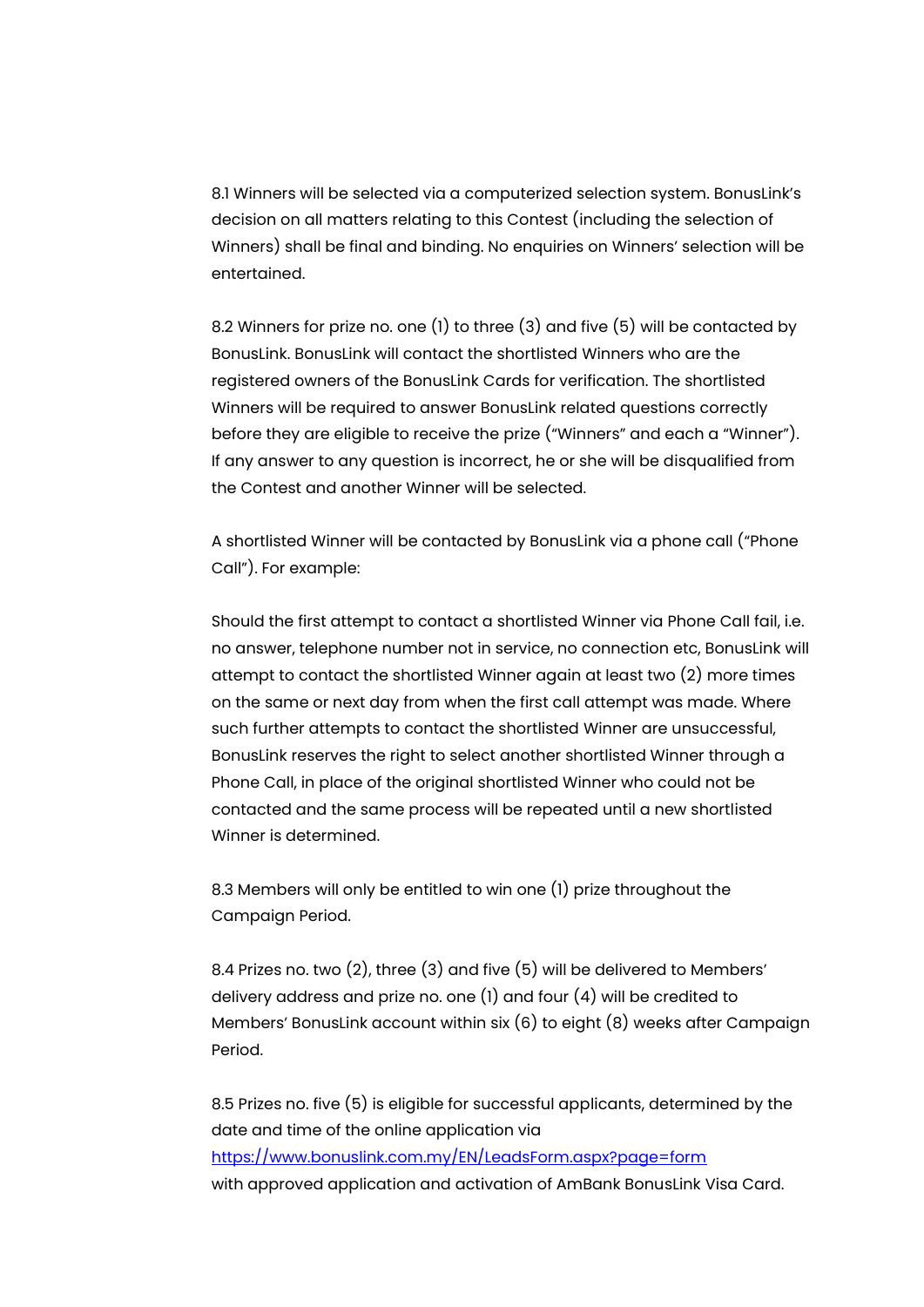8.1 Winners will be selected via a computerized selection system. BonusLink's decision on all matters relating to this Contest (including the selection of Winners) shall be final and binding. No enquiries on Winners' selection will be entertained.

8.2 Winners for prize no. one (1) to three (3) and five (5) will be contacted by BonusLink. BonusLink will contact the shortlisted Winners who are the registered owners of the BonusLink Cards for verification. The shortlisted Winners will be required to answer BonusLink related questions correctly before they are eligible to receive the prize ("Winners" and each a "Winner"). If any answer to any question is incorrect, he or she will be disqualified from the Contest and another Winner will be selected.

A shortlisted Winner will be contacted by BonusLink via a phone call ("Phone Call"). For example:

Should the first attempt to contact a shortlisted Winner via Phone Call fail, i.e. no answer, telephone number not in service, no connection etc, BonusLink will attempt to contact the shortlisted Winner again at least two (2) more times on the same or next day from when the first call attempt was made. Where such further attempts to contact the shortlisted Winner are unsuccessful, BonusLink reserves the right to select another shortlisted Winner through a Phone Call, in place of the original shortlisted Winner who could not be contacted and the same process will be repeated until a new shortlisted Winner is determined.

8.3 Members will only be entitled to win one (1) prize throughout the Campaign Period.

8.4 Prizes no. two (2), three (3) and five (5) will be delivered to Members' delivery address and prize no. one (1) and four (4) will be credited to Members' BonusLink account within six (6) to eight (8) weeks after Campaign Period.

8.5 Prizes no. five (5) is eligible for successful applicants, determined by the date and time of the online application via <https://www.bonuslink.com.my/EN/LeadsForm.aspx?page=form> with approved application and activation of AmBank BonusLink Visa Card.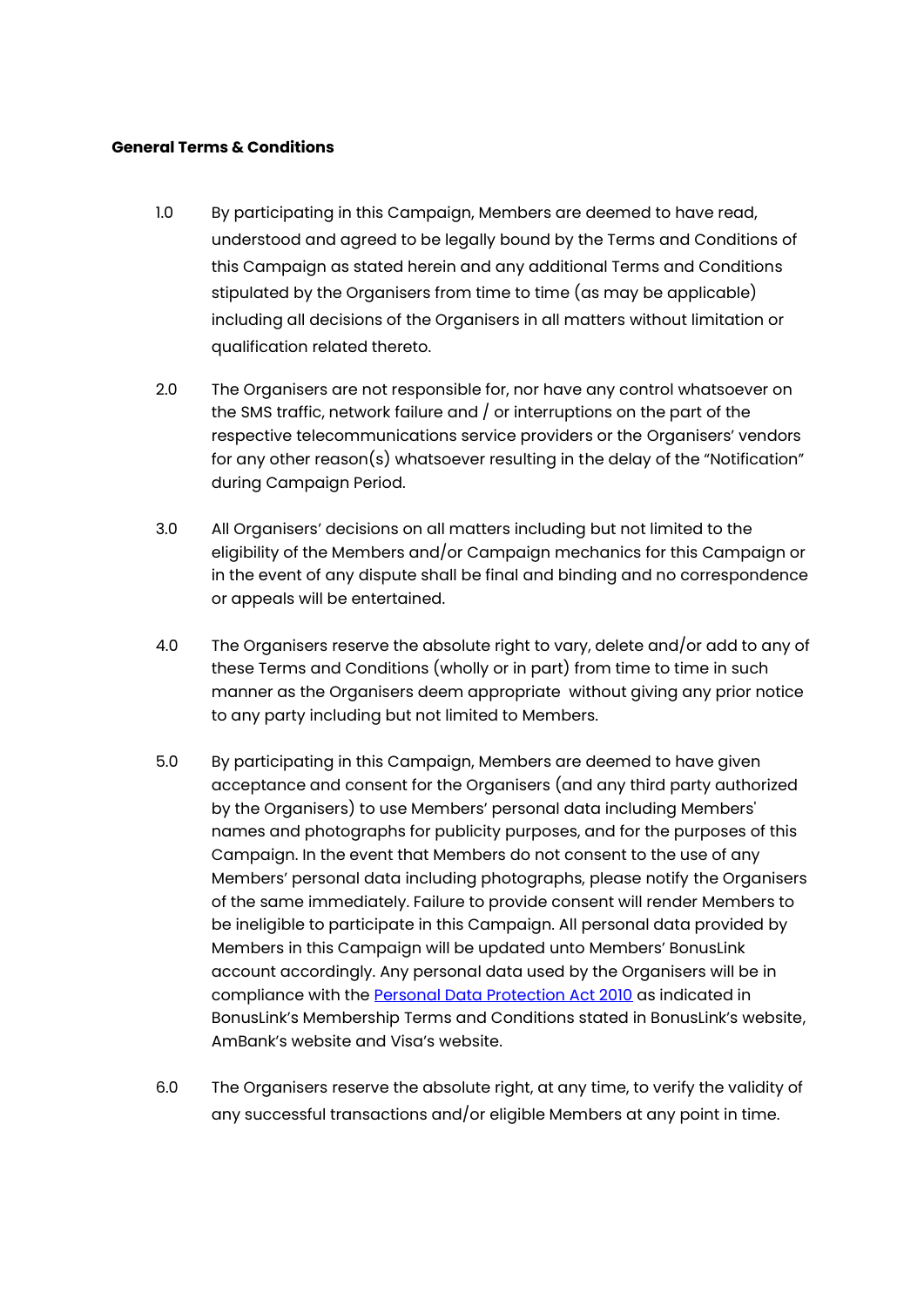### **General Terms & Conditions**

- 1.0 By participating in this Campaign, Members are deemed to have read, understood and agreed to be legally bound by the Terms and Conditions of this Campaign as stated herein and any additional Terms and Conditions stipulated by the Organisers from time to time (as may be applicable) including all decisions of the Organisers in all matters without limitation or qualification related thereto.
- 2.0 The Organisers are not responsible for, nor have any control whatsoever on the SMS traffic, network failure and / or interruptions on the part of the respective telecommunications service providers or the Organisers' vendors for any other reason(s) whatsoever resulting in the delay of the "Notification" during Campaign Period.
- 3.0 All Organisers' decisions on all matters including but not limited to the eligibility of the Members and/or Campaign mechanics for this Campaign or in the event of any dispute shall be final and binding and no correspondence or appeals will be entertained.
- 4.0 The Organisers reserve the absolute right to vary, delete and/or add to any of these Terms and Conditions (wholly or in part) from time to time in such manner as the Organisers deem appropriate without giving any prior notice to any party including but not limited to Members.
- 5.0 By participating in this Campaign, Members are deemed to have given acceptance and consent for the Organisers (and any third party authorized by the Organisers) to use Members' personal data including Members' names and photographs for publicity purposes, and for the purposes of this Campaign. In the event that Members do not consent to the use of any Members' personal data including photographs, please notify the Organisers of the same immediately. Failure to provide consent will render Members to be ineligible to participate in this Campaign. All personal data provided by Members in this Campaign will be updated unto Members' BonusLink account accordingly. Any personal data used by the Organisers will be in compliance with the [Personal Data Protection Act 2010](https://www.bonuslink.com.my/EN/PrivacyNotice.aspx) as indicated in BonusLink's Membership Terms and Conditions stated in BonusLink's website, AmBank's website and Visa's website.
- 6.0 The Organisers reserve the absolute right, at any time, to verify the validity of any successful transactions and/or eligible Members at any point in time.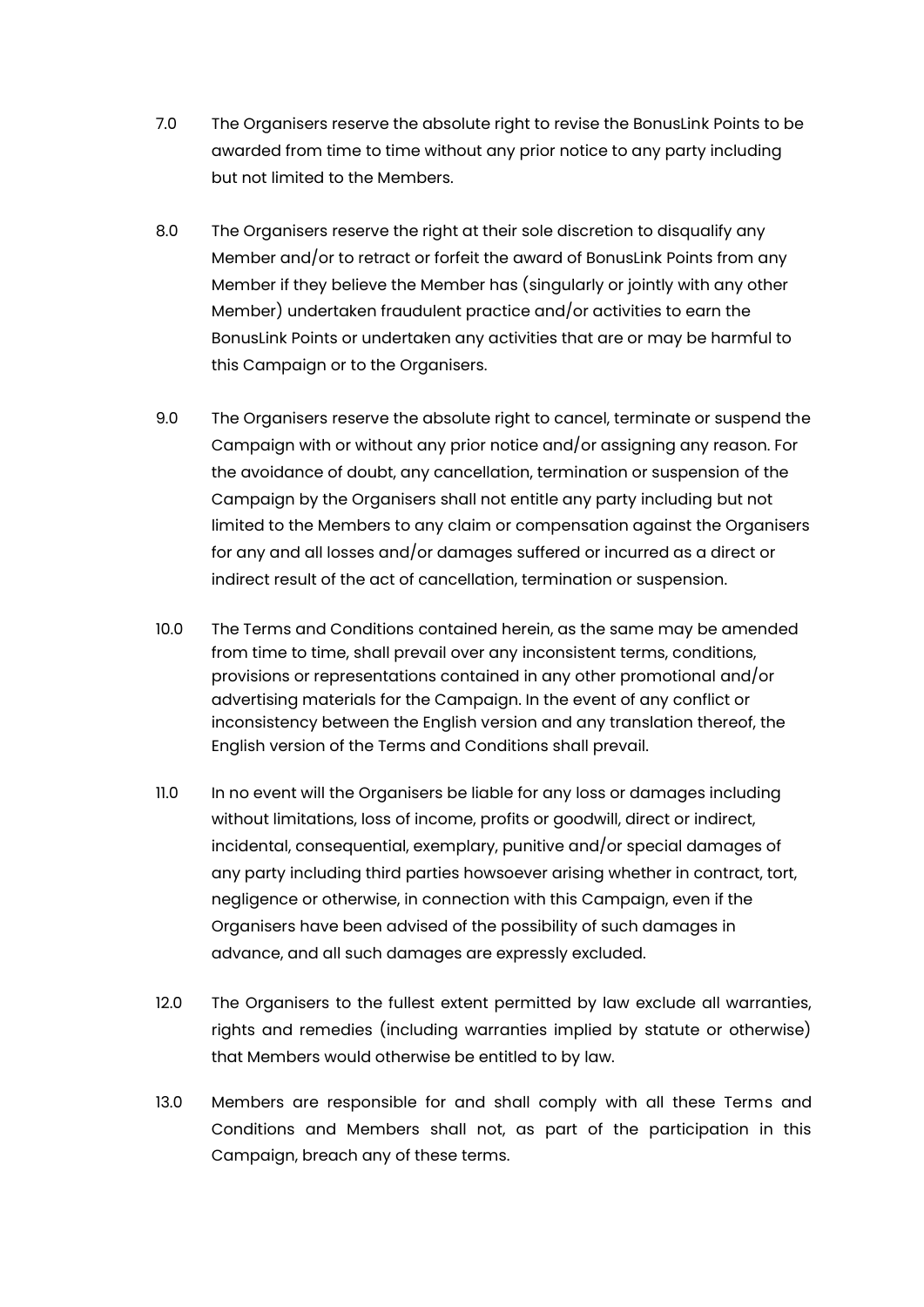- 7.0 The Organisers reserve the absolute right to revise the BonusLink Points to be awarded from time to time without any prior notice to any party including but not limited to the Members.
- 8.0 The Organisers reserve the right at their sole discretion to disqualify any Member and/or to retract or forfeit the award of BonusLink Points from any Member if they believe the Member has (singularly or jointly with any other Member) undertaken fraudulent practice and/or activities to earn the BonusLink Points or undertaken any activities that are or may be harmful to this Campaign or to the Organisers.
- 9.0 The Organisers reserve the absolute right to cancel, terminate or suspend the Campaign with or without any prior notice and/or assigning any reason. For the avoidance of doubt, any cancellation, termination or suspension of the Campaign by the Organisers shall not entitle any party including but not limited to the Members to any claim or compensation against the Organisers for any and all losses and/or damages suffered or incurred as a direct or indirect result of the act of cancellation, termination or suspension.
- 10.0 The Terms and Conditions contained herein, as the same may be amended from time to time, shall prevail over any inconsistent terms, conditions, provisions or representations contained in any other promotional and/or advertising materials for the Campaign. In the event of any conflict or inconsistency between the English version and any translation thereof, the English version of the Terms and Conditions shall prevail.
- 11.0 In no event will the Organisers be liable for any loss or damages including without limitations, loss of income, profits or goodwill, direct or indirect, incidental, consequential, exemplary, punitive and/or special damages of any party including third parties howsoever arising whether in contract, tort, negligence or otherwise, in connection with this Campaign, even if the Organisers have been advised of the possibility of such damages in advance, and all such damages are expressly excluded.
- 12.0 The Organisers to the fullest extent permitted by law exclude all warranties, rights and remedies (including warranties implied by statute or otherwise) that Members would otherwise be entitled to by law.
- 13.0 Members are responsible for and shall comply with all these Terms and Conditions and Members shall not, as part of the participation in this Campaign, breach any of these terms.